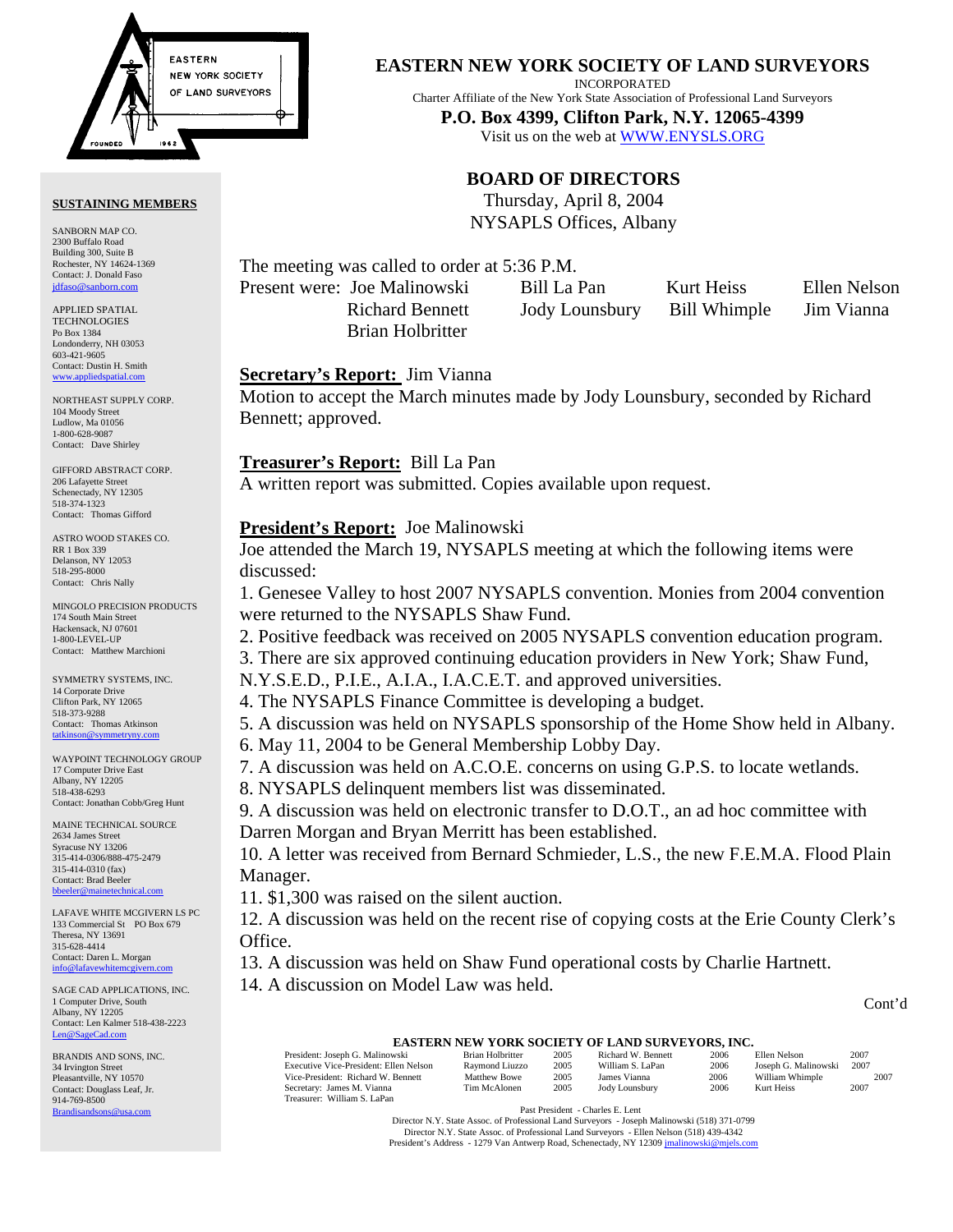

#### **SUSTAINING MEMBERS**

SANBORN MAP CO. 2300 Buffalo Road Building 300, Suite B Rochester, NY 14624-1369 Contact: J. Donald Faso jdfaso@sanborn

APPLIED SPATIAL **TECHNOLOGIES** Po Box 1384 Londonderry, NH 03053 603-421-9605 Contact: Dustin H. Smith <www.appliedspatial.com>

NORTHEAST SUPPLY CORP. 104 Moody Street Ludlow, Ma 01056 1-800-628-9087 Contact: Dave Shirley

GIFFORD ABSTRACT CORP. 206 Lafayette Street Schenectady, NY 12305 518-374-1323 Contact: Thomas Gifford

ASTRO WOOD STAKES CO. RR 1 Box 339 Delanson, NY 12053 518-295-8000 Contact: Chris Nally

MINGOLO PRECISION PRODUCTS 174 South Main Street Hackensack, NJ 07601 1-800-LEVEL-UP Contact: Matthew Marchioni

SYMMETRY SYSTEMS, INC. 14 Corporate Drive Clifton Park, NY 12065 518-373-9288 Contact: Thomas Atkinson<br>tatkinson@symmetrynv.com tations of the symmetry.

WAYPOINT TECHNOLOGY GROUP 17 Computer Drive East Albany, NY 12205 518-438-6293 Contact: Jonathan Cobb/Greg Hunt

MAINE TECHNICAL SOURCE 2634 James Street Syracuse NY 13206 315-414-0306/888-475-2479 315-414-0310 (fax) Contact: Brad Beeler bbeeler@n

LAFAVE WHITE MCGIVERN LS PC 133 Commercial St PO Box 679 Theresa, NY 13691 315-628-4414 Contact: Daren L. Morgan info@lafavewhitem

SAGE CAD APPLICATIONS, INC. 1 Computer Drive, South Albany, NY 12205 Contact: Len Kalmer 518-438-2223 [Len@SageCad.com](MAILTO:Len@SageCad.com)

BRANDIS AND SONS, INC. 34 Irvington Street Pleasantville, NY 10570 Contact: Douglass Leaf, Jr. 914-769-8500 [Brandisandsons@usa.com](MAILTO:brandisandsons@usa.com)

**EASTERN NEW YORK SOCIETY OF LAND SURVEYORS**

INCORPORATED

Charter Affiliate of the New York State Association of Professional Land Surveyors

**P.O. Box 4399, Clifton Park, N.Y. 12065-4399**  Visit us on the web [at WWW.ENYSLS.ORG](www.enysls.org)

## **BOARD OF DIRECTORS**

Thursday, April 8, 2004 NYSAPLS Offices, Albany

The meeting was called to order at 5:36 P.M.

Present were: Joe Malinowski Bill La Pan Kurt Heiss Ellen Nelson Brian Holbritter

Richard Bennett Jody Lounsbury Bill Whimple Jim Vianna

#### **Secretary's Report:** Jim Vianna

Motion to accept the March minutes made by Jody Lounsbury, seconded by Richard Bennett; approved.

#### **Treasurer's Report:** Bill La Pan

A written report was submitted. Copies available upon request.

#### **President's Report:** Joe Malinowski

Joe attended the March 19, NYSAPLS meeting at which the following items were discussed:

1. Genesee Valley to host 2007 NYSAPLS convention. Monies from 2004 convention were returned to the NYSAPLS Shaw Fund.

2. Positive feedback was received on 2005 NYSAPLS convention education program.

3. There are six approved continuing education providers in New York; Shaw Fund,

N.Y.S.E.D., P.I.E., A.I.A., I.A.C.E.T. and approved universities.

4. The NYSAPLS Finance Committee is developing a budget.

5. A discussion was held on NYSAPLS sponsorship of the Home Show held in Albany.

6. May 11, 2004 to be General Membership Lobby Day.

7. A discussion was held on A.C.O.E. concerns on using G.P.S. to locate wetlands.

8. NYSAPLS delinquent members list was disseminated.

9. A discussion was held on electronic transfer to D.O.T., an ad hoc committee with Darren Morgan and Bryan Merritt has been established.

10. A letter was received from Bernard Schmieder, L.S., the new F.E.M.A. Flood Plain Manager.

11. \$1,300 was raised on the silent auction.

12. A discussion was held on the recent rise of copying costs at the Erie County Clerk's Office.

13. A discussion was held on Shaw Fund operational costs by Charlie Hartnett.

14. A discussion on Model Law was held.

#### Cont'd

# **EASTERN NEW YORK SOCIETY OF LAND SURVEYORS, INC.**<br>wski Brian Holbritter 2005 Richard W. Bennett 2006 Ellen Nelson

President: Joseph G. Malinowski Brian Holbritter 2005 Richard W. Bennett 2006 Ellen Nelson 2007<br>Executive Vice-President: Ellen Nelson Raymond Liuzzo 2005 William S. LaPan 2006 Joseph G. Malinowski 2007 Executive Vice-President: Ellen Nelson Raymond Liuzzo 2005 William S. LaPan 2006 Joseph G. Malinowski 2007<br>
Vice-President: Richard W. Bennett Matthew Bowe 2005 James Vianna 2006 William Whimple 2007 Vice-President: Richard W. Bennett Matthew Bowe 2005 James Vianna 2006 William Whimple 2007<br>Secretary: James M. Vianna Tim McAlonen 2005 Jody Lounsbury 2006 Kurt Heiss 2007 Secretary: James M. Viann Treasurer: William S. LaPan

Past President - Charles E. Lent

Director N.Y. State Assoc. of Professional Land Surveyors - Joseph Malinowski (518) 371-0799 Director N.Y. State Assoc. of Professional Land Surveyors - Ellen Nelson (518) 439-4342 President's Address - 1279 Van Antwerp Road, Schenectady, NY 1230[9 jmalinowski@mjels.com](MAILTO:jmalinowski@mjels.com)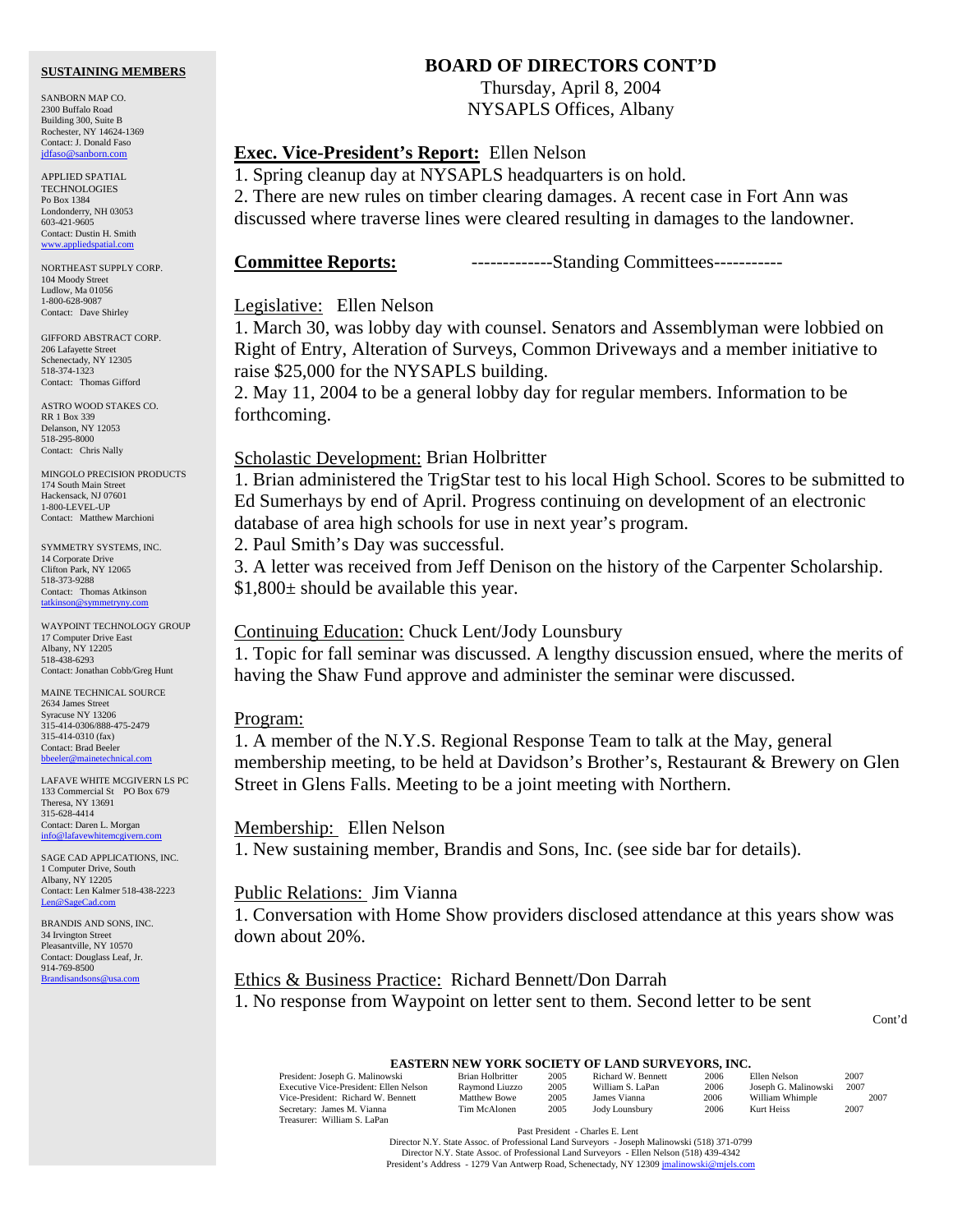#### **SUSTAINING MEMBERS**

SANBORN MAP CO. 2300 Buffalo Road Building 300, Suite B Rochester, NY 14624-1369 Contact: J. Donald Faso [jdfaso@sanborn.com](mailto:jdfaso@sanborn.com)

APPLIED SPATIAL **TECHNOLOGIES** Po Box 1384 Londonderry, NH 03053 603-421-9605 Contact: Dustin H. Smith <www.appliedspatial.com>

NORTHEAST SUPPLY CORP. 104 Moody Street Ludlow, Ma 01056 1-800-628-9087 Contact: Dave Shirley

GIFFORD ABSTRACT CORP. 206 Lafayette Street Schenectady, NY 12305 518-374-1323 Contact: Thomas Gifford

ASTRO WOOD STAKES CO. RR 1 Box 339 Delanson, NY 12053 518-295-8000 Contact: Chris Nally

MINGOLO PRECISION PRODUCTS 174 South Main Street Hackensack, NJ 07601 1-800-LEVEL-UP Contact: Matthew Marchioni

SYMMETRY SYSTEMS, INC. 14 Corporate Drive Clifton Park, NY 12065 518-373-9288 Contact: Thomas Atkinson [tatkinson@symmetryny.com](mailto:tatkinson@symmetryny.com)

WAYPOINT TECHNOLOGY GROUP 17 Computer Drive East Albany, NY 12205 518-438-6293 Contact: Jonathan Cobb/Greg Hunt

MAINE TECHNICAL SOURCE 2634 James Street Syracuse NY 13206 315-414-0306/888-475-2479 315-414-0310 (fax) Contact: Brad Beeler [bbeeler@mainetechnical.com](MAILTO:bbeeler@mainetechnical.com)

LAFAVE WHITE MCGIVERN LS PC 133 Commercial St PO Box 679 Theresa, NY 13691 315-628-4414 Contact: Daren L. Morgan info@lafavewhitemcs

SAGE CAD APPLICATIONS, INC. 1 Computer Drive, South Albany, NY 12205 Contact: Len Kalmer 518-438-2223 [Len@SageCad.com](MAILTO:Len@SageCad.com)

BRANDIS AND SONS, INC. 34 Irvington Street Pleasantville, NY 10570 Contact: Douglass Leaf, Jr. 914-769-8500 [Brandisandsons@usa.com](MAILTO:brandisandsons@usa.com)

## **BOARD OF DIRECTORS CONT'D**

Thursday, April 8, 2004 NYSAPLS Offices, Albany

## **Exec. Vice-President's Report:** Ellen Nelson

1. Spring cleanup day at NYSAPLS headquarters is on hold.

2. There are new rules on timber clearing damages. A recent case in Fort Ann was discussed where traverse lines were cleared resulting in damages to the landowner.

**Committee Reports:** -------------Standing Committees-----------

#### Legislative: Ellen Nelson

1. March 30, was lobby day with counsel. Senators and Assemblyman were lobbied on Right of Entry, Alteration of Surveys, Common Driveways and a member initiative to raise \$25,000 for the NYSAPLS building.

2. May 11, 2004 to be a general lobby day for regular members. Information to be forthcoming.

#### Scholastic Development: Brian Holbritter

1. Brian administered the TrigStar test to his local High School. Scores to be submitted to Ed Sumerhays by end of April. Progress continuing on development of an electronic database of area high schools for use in next year's program.

2. Paul Smith's Day was successful.

3. A letter was received from Jeff Denison on the history of the Carpenter Scholarship. \$1,800± should be available this year.

#### Continuing Education: Chuck Lent/Jody Lounsbury

1. Topic for fall seminar was discussed. A lengthy discussion ensued, where the merits of having the Shaw Fund approve and administer the seminar were discussed.

#### Program:

1. A member of the N.Y.S. Regional Response Team to talk at the May, general membership meeting, to be held at Davidson's Brother's, Restaurant & Brewery on Glen Street in Glens Falls. Meeting to be a joint meeting with Northern.

#### Membership: Ellen Nelson

1. New sustaining member, Brandis and Sons, Inc. (see side bar for details).

#### Public Relations: Jim Vianna

1. Conversation with Home Show providers disclosed attendance at this years show was down about 20%.

## Ethics & Business Practice: Richard Bennett/Don Darrah 1. No response from Waypoint on letter sent to them. Second letter to be sent

Cont'd

## **EASTERN NEW YORK SOCIETY OF LAND SURVEYORS, INC.**<br>  $\frac{\text{Brian Holbritter}}{\text{Brian Holbritter}}$  2005 Richard W. Bennett 2006 Ellen Nelson

President: Joseph G. Malinowski Brian Holbritter 2005 Richard W. Bennett 2006 Ellen Nelson 2007<br>Executive Vice-President: Ellen Nelson Raymond Liuzzo 2005 William S. LaPan 2006 Joseph G. Malinowski 2007 Executive Vice-President: Ellen Nelson Raymond Liuzzo 2005 William S. LaPan 2006 Joseph G. Malinowski 2007<br>Vice-President: Richard W. Bennett Matthew Bowe 2005 James Vianna 2006 William Whimple 2007 Vice-President: Richard W. Bennett Matthew Bowe 2005 James Vianna 2006 William Whimple<br>Secretary: James M. Vianna Tim McAlonen 2005 Jody Lounsbury 2006 Kurt Heiss 2007 Secretary: James M. Vianna Treasurer: William S. LaPan

Past President - Charles E. Lent

Director N.Y. State Assoc. of Professional Land Surveyors - Joseph Malinowski (518) 371-0799 Director N.Y. State Assoc. of Professional Land Surveyors - Ellen Nelson (518) 439-4342 President's Address - 1279 Van Antwerp Road, Schenectady, NY 1230[9 jmalinowski@mjels.com](MAILTO:jmalinowski@mjels.com)